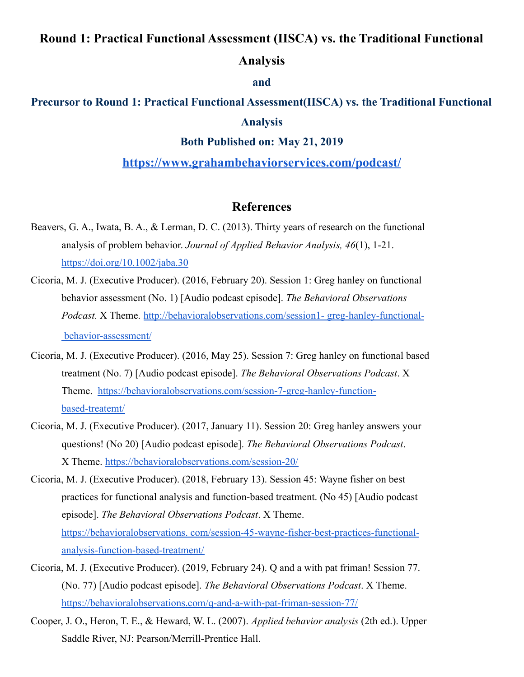# **Round 1: Practical Functional Assessment (IISCA) vs. the Traditional Functional**

# **Analysis**

#### **and**

# **Precursor to Round 1: Practical Functional Assessment(IISCA) vs. the Traditional Functional Analysis**

### **Both Published on: May 21, 2019**

### **<https://www.grahambehaviorservices.com/podcast/>**

# **References**

- Beavers, G. A., Iwata, B. A., & Lerman, D. C. (2013). Thirty years of research on the functional analysis of problem behavior. *Journal of Applied Behavior Analysis, 46*(1), 1-21. <https://doi.org/10.1002/jaba.30>
- Cicoria, M. J. (Executive Producer). (2016, February 20). Session 1: Greg hanley on functional behavior assessment (No. 1) [Audio podcast episode]. *The Behavioral Observations Podcast.* X Theme. [http://behavioralobservations.com/session1-](http://behavioralobservations.com/session1-greg-hanley-functional-behavior-assessment/) greg-hanley-functional[behavior-assessment/](http://behavioralobservations.com/session1-greg-hanley-functional-behavior-assessment/)
- Cicoria, M. J. (Executive Producer). (2016, May 25). Session 7: Greg hanley on functional based treatment (No. 7) [Audio podcast episode]. *The Behavioral Observations Podcast*. X Theme. [https://behavioralobservations.com/session-7-greg-hanley-function](https://behavioralobservations.com/session-7-greg-hanley-function-based-treatemt/)[based-treatemt/](https://behavioralobservations.com/session-7-greg-hanley-function-based-treatemt/)
- Cicoria, M. J. (Executive Producer). (2017, January 11). Session 20: Greg hanley answers your questions! (No 20) [Audio podcast episode]. *The Behavioral Observations Podcast*. X Theme. <https://behavioralobservations.com/session-20/>
- Cicoria, M. J. (Executive Producer). (2018, February 13). Session 45: Wayne fisher on best practices for functional analysis and function-based treatment. (No 45) [Audio podcast episode]. *The Behavioral Observations Podcast*. X Theme. [https://behavioralobservations. com/session-45-wayne-fisher-best-practices-functional](https://behavioralobservations.com/session-45-wayne-fisher-best-practices-functional-analysis-function-based-treatment/)[analysis-function-based-treatment/](https://behavioralobservations.com/session-45-wayne-fisher-best-practices-functional-analysis-function-based-treatment/)
- Cicoria, M. J. (Executive Producer). (2019, February 24). Q and a with pat friman! Session 77. (No. 77) [Audio podcast episode]. *The Behavioral Observations Podcast*. X Theme. <https://behavioralobservations.com/q-and-a-with-pat-friman-session-77/>
- Cooper, J. O., Heron, T. E., & Heward, W. L. (2007). *Applied behavior analysis* (2th ed.). Upper Saddle River, NJ: Pearson/Merrill-Prentice Hall.